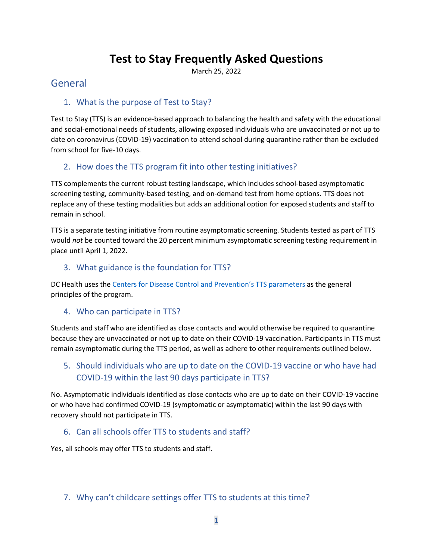# **Test to Stay Frequently Asked Questions**

March 25, 2022

## General

#### 1. What is the purpose of Test to Stay?

Test to Stay (TTS) is an evidence-based approach to balancing the health and safety with the educational and social-emotional needs of students, allowing exposed individuals who are unvaccinated or not up to date on coronavirus (COVID-19) vaccination to attend school during quarantine rather than be excluded from school for five-10 days.

## 2. How does the TTS program fit into other testing initiatives?

TTS complements the current robust testing landscape, which includes school-based asymptomatic screening testing, community-based testing, and on-demand test from home options. TTS does not replace any of these testing modalities but adds an additional option for exposed students and staff to remain in school.

TTS is a separate testing initiative from routine asymptomatic screening. Students tested as part of TTS would *not* be counted toward the 20 percent minimum asymptomatic screening testing requirement in place until April 1, 2022.

#### 3. What guidance is the foundation for TTS?

DC Health uses the [Centers for Disease Control and](https://www.cdc.gov/coronavirus/2019-ncov/community/schools-childcare/what-you-should-know.html#anchor_1642695652184) Prevention's TTS parameters as the general principles of the program.

## 4. Who can participate in TTS?

Students and staff who are identified as close contacts and would otherwise be required to quarantine because they are unvaccinated or not up to date on their COVID-19 vaccination. Participants in TTS must remain asymptomatic during the TTS period, as well as adhere to other requirements outlined below.

## 5. Should individuals who are up to date on the COVID-19 vaccine or who have had COVID-19 within the last 90 days participate in TTS?

No. Asymptomatic individuals identified as close contacts who are up to date on their COVID-19 vaccine or who have had confirmed COVID-19 (symptomatic or asymptomatic) within the last 90 days with recovery should not participate in TTS.

#### 6. Can all schools offer TTS to students and staff?

Yes, all schools may offer TTS to students and staff.

#### 7. Why can't childcare settings offer TTS to students at this time?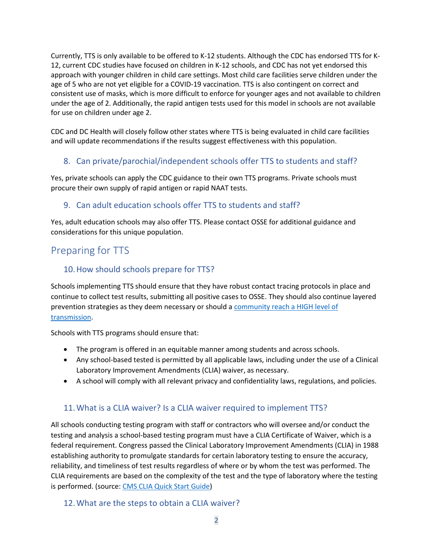Currently, TTS is only available to be offered to K-12 students. Although the CDC has endorsed TTS for K-12, current CDC studies have focused on children in K-12 schools, and CDC has not yet endorsed this approach with younger children in child care settings. Most child care facilities serve children under the age of 5 who are not yet eligible for a COVID-19 vaccination. TTS is also contingent on correct and consistent use of masks, which is more difficult to enforce for younger ages and not available to children under the age of 2. Additionally, the rapid antigen tests used for this model in schools are not available for use on children under age 2.

CDC and DC Health will closely follow other states where TTS is being evaluated in child care facilities and will update recommendations if the results suggest effectiveness with this population.

## 8. Can private/parochial/independent schools offer TTS to students and staff?

Yes, private schools can apply the CDC guidance to their own TTS programs. Private schools must procure their own supply of rapid antigen or rapid NAAT tests.

## 9. Can adult education schools offer TTS to students and staff?

Yes, adult education schools may also offer TTS. Please contact OSSE for additional guidance and considerations for this unique population.

## Preparing for TTS

## 10.How should schools prepare for TTS?

Schools implementing TTS should ensure that they have robust contact tracing protocols in place and continue to collect test results, submitting all positive cases to OSSE. They should also continue layered prevention strategies as they deem necessary or should a [community reach a HIGH level of](https://www.cdc.gov/coronavirus/2019-ncov/science/community-levels.html)  [transmission.](https://www.cdc.gov/coronavirus/2019-ncov/science/community-levels.html)

Schools with TTS programs should ensure that:

- The program is offered in an equitable manner among students and across schools.
- Any school-based tested is permitted by all applicable laws, including under the use of a Clinical Laboratory Improvement Amendments (CLIA) waiver, as necessary.
- A school will comply with all relevant privacy and confidentiality laws, regulations, and policies.

## 11.What is a CLIA waiver? Is a CLIA waiver required to implement TTS?

All schools conducting testing program with staff or contractors who will oversee and/or conduct the testing and analysis a school-based testing program must have a CLIA Certificate of Waiver, which is a federal requirement. Congress passed the Clinical Laboratory Improvement Amendments (CLIA) in 1988 establishing authority to promulgate standards for certain laboratory testing to ensure the accuracy, reliability, and timeliness of test results regardless of where or by whom the test was performed. The CLIA requirements are based on the complexity of the test and the type of laboratory where the testing is performed. (source: [CMS CLIA Quick Start Guide\)](https://www.cms.gov/files/document/cms-clia-laboratory-quick-start-guide-remediated.pdf)

#### 12.What are the steps to obtain a CLIA waiver?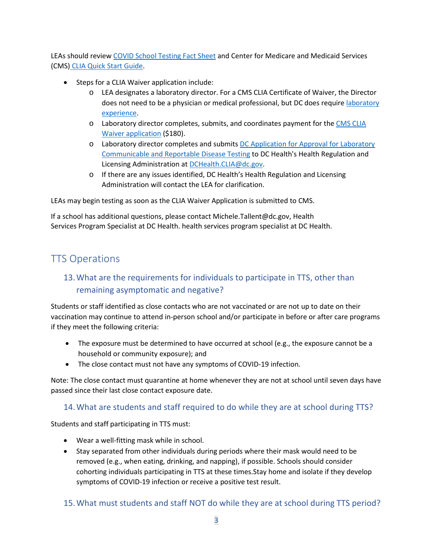LEAs should review [COVID School Testing Fact Sheet](https://www.cms.gov/files/document/covid-school-testing-factsheet.pdf) and Center for Medicare and Medicaid Services (CMS) CLIA Quick Start Guide.

- Steps for a CLIA Waiver application include:
	- o LEA designates a laboratory director. For a CMS CLIA Certificate of Waiver, the Director does not need to be a physician or medical professional, but DC does requir[e laboratory](https://code.dccouncil.us/us/dc/council/code/sections/44-203)  [experience.](https://code.dccouncil.us/us/dc/council/code/sections/44-203)
	- o Laboratory director completes, submits, and coordinates payment for th[e CMS CLIA](https://www.cms.gov/Medicare/CMS-Forms/CMS-Forms/downloads/cms116.pdf)  [Waiver application](https://www.cms.gov/Medicare/CMS-Forms/CMS-Forms/downloads/cms116.pdf) (\$180).
	- o Laboratory director completes and submits [DC Application for Approval for Laboratory](https://dchealth.dc.gov/sites/default/files/dc/sites/doh/page_content/attachments/Laboratory%20for%20Communicable%20and%20Reportable%20Disease%20Application.pdf)  [Communicable and Reportable Disease Testing](https://dchealth.dc.gov/sites/default/files/dc/sites/doh/page_content/attachments/Laboratory%20for%20Communicable%20and%20Reportable%20Disease%20Application.pdf) to DC Health's Health Regulation and Licensing Administration at [DCHealth.CLIA@dc.gov.](mailto:DCHealth.CLIA@dc.gov)
	- o If there are any issues identified, DC Health's Health Regulation and Licensing Administration will contact the LEA for clarification.

LEAs may begin testing as soon as the CLIA Waiver Application is submitted to CMS.

If a school has additional questions, please contact [Michele.Tallent@dc.gov,](mailto:Michele.Tallent@dc.gov) Health Services Program Specialist at DC Health. health services program specialist at DC Health.

## TTS Operations

## 13.What are the requirements for individuals to participate in TTS, other than remaining asymptomatic and negative?

Students or staff identified as close contacts who are not vaccinated or are not up to date on their vaccination may continue to attend in-person school and/or participate in before or after care programs if they meet the following criteria:

- The exposure must be determined to have occurred at school (e.g., the exposure cannot be a household or community exposure); and
- The close contact must not have any symptoms of COVID-19 infection.

Note: The close contact must quarantine at home whenever they are not at school until seven days have passed since their last close contact exposure date.

#### 14.What are students and staff required to do while they are at school during TTS?

Students and staff participating in TTS must:

- Wear a well-fitting mask while in school.
- Stay separated from other individuals during periods where their mask would need to be removed (e.g., when eating, drinking, and napping), if possible. Schools should consider cohorting individuals participating in TTS at these times.Stay home and isolate if they develop symptoms of COVID-19 infection or receive a positive test result.

#### 15.What must students and staff NOT do while they are at school during TTS period?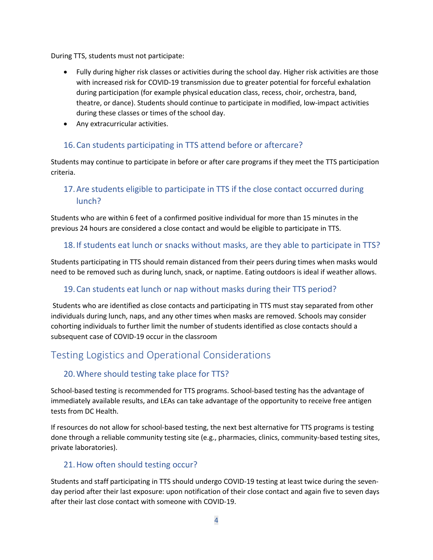During TTS, students must not participate:

- Fully during higher risk classes or activities during the school day. Higher risk activities are those with increased risk for COVID-19 transmission due to greater potential for forceful exhalation during participation (for example physical education class, recess, choir, orchestra, band, theatre, or dance). Students should continue to participate in modified, low-impact activities during these classes or times of the school day.
- Any extracurricular activities.

## 16.Can students participating in TTS attend before or aftercare?

Students may continue to participate in before or after care programs if they meet the TTS participation criteria.

## 17.Are students eligible to participate in TTS if the close contact occurred during lunch?

Students who are within 6 feet of a confirmed positive individual for more than 15 minutes in the previous 24 hours are considered a close contact and would be eligible to participate in TTS.

#### 18.If students eat lunch or snacks without masks, are they able to participate in TTS?

Students participating in TTS should remain distanced from their peers during times when masks would need to be removed such as during lunch, snack, or naptime. Eating outdoors is ideal if weather allows.

## 19.Can students eat lunch or nap without masks during their TTS period?

Students who are identified as close contacts and participating in TTS must stay separated from other individuals during lunch, naps, and any other times when masks are removed. Schools may consider cohorting individuals to further limit the number of students identified as close contacts should a subsequent case of COVID-19 occur in the classroom

## Testing Logistics and Operational Considerations

## 20.Where should testing take place for TTS?

School-based testing is recommended for TTS programs. School-based testing has the advantage of immediately available results, and LEAs can take advantage of the opportunity to receive free antigen tests from DC Health.

If resources do not allow for school-based testing, the next best alternative for TTS programs is testing done through a reliable community testing site (e.g., pharmacies, clinics, community-based testing sites, private laboratories).

## 21.How often should testing occur?

Students and staff participating in TTS should undergo COVID-19 testing at least twice during the sevenday period after their last exposure: upon notification of their close contact and again five to seven days after their last close contact with someone with COVID-19.